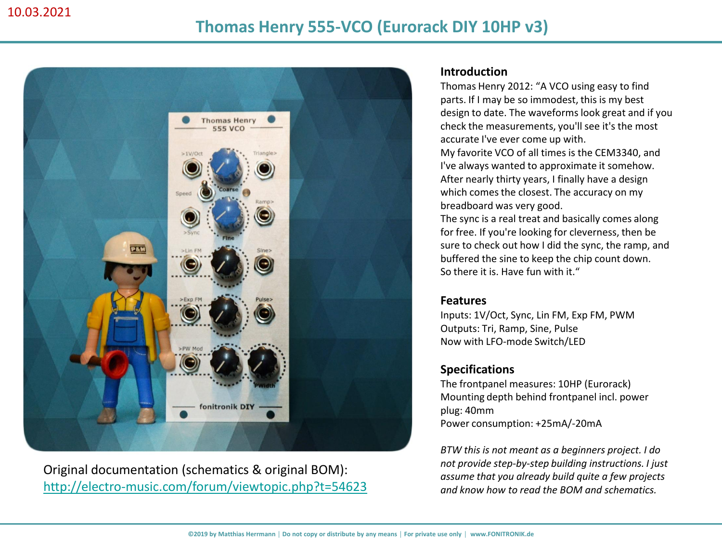## **Thomas Henry 555-VCO (Eurorack DIY 10HP v3)**



Original documentation (schematics & original BOM): <http://electro-music.com/forum/viewtopic.php?t=54623>

### **Introduction**

Thomas Henry 2012: "A VCO using easy to find parts. If I may be so immodest, this is my best design to date. The waveforms look great and if you check the measurements, you'll see it's the most accurate I've ever come up with.

My favorite VCO of all times is the CEM3340, and I've always wanted to approximate it somehow. After nearly thirty years, I finally have a design which comes the closest. The accuracy on my breadboard was very good.

The sync is a real treat and basically comes along for free. If you're looking for cleverness, then be sure to check out how I did the sync, the ramp, and buffered the sine to keep the chip count down. So there it is. Have fun with it."

### **Features**

Inputs: 1V/Oct, Sync, Lin FM, Exp FM, PWM Outputs: Tri, Ramp, Sine, Pulse Now with LFO-mode Switch/LED

### **Specifications**

The frontpanel measures: 10HP (Eurorack) Mounting depth behind frontpanel incl. power plug: 40mm Power consumption: +25mA/-20mA

*BTW this is not meant as a beginners project. I do not provide step-by-step building instructions. I just assume that you already build quite a few projects and know how to read the BOM and schematics.*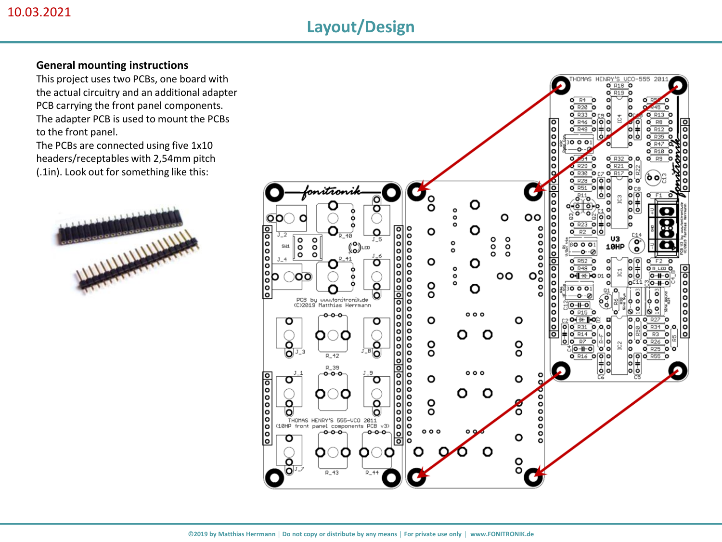# **Layout/Design**

### **General mounting instructions**

This project uses two PCBs, one board with the actual circuitry and an additional adapter PCB carrying the front panel components. The adapter PCB is used to mount the PCBs to the front panel.

The PCBs are connected using five 1x10 headers/receptables with 2,54mm pitch (.1in). Look out for something like this:



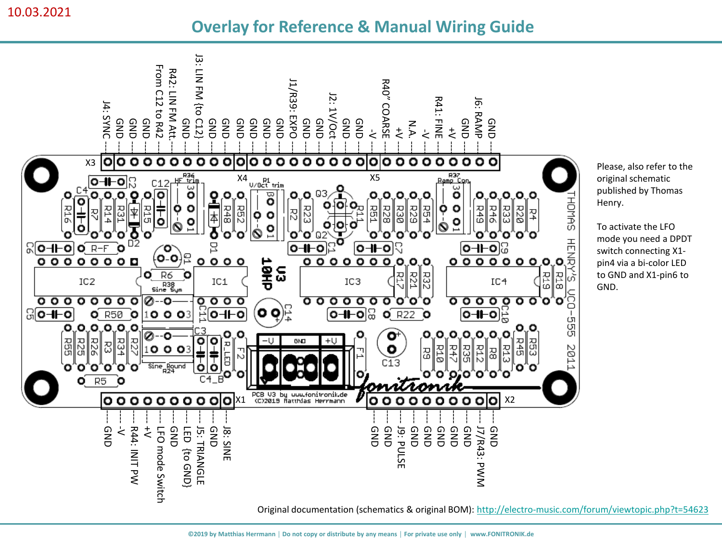## **Overlay for Reference & Manual Wiring Guide**



Please, also refer to the original schematic published by Thomas Henry.

To activate the LFO mode you need a DPDT switch connecting X1 pin4 via a bi-color LED to GND and X1-pin6 to GND.

Original documentation (schematics & original BOM): <http://electro-music.com/forum/viewtopic.php?t=54623>